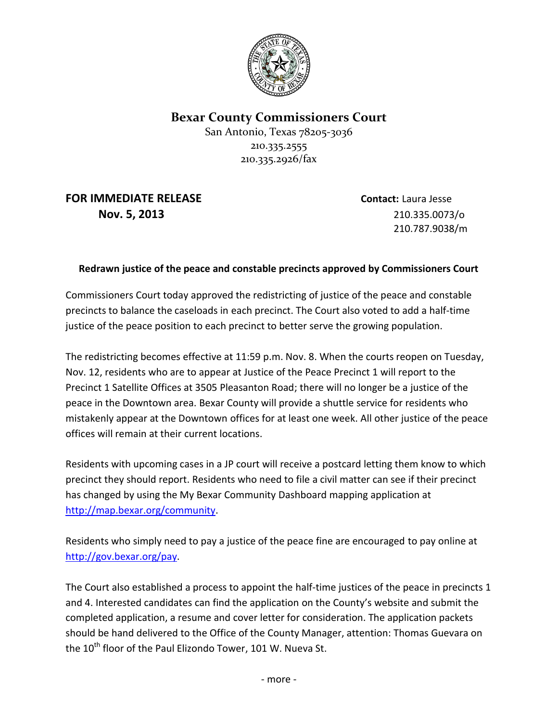

**Bexar County Commissioners Court**

San Antonio, Texas 78205-3036 210.335.2555 210.335.2926/fax

**FOR IMMEDIATE RELEASE Contact:** Laura Jesse **Nov. 5, 2013** 210.335.0073/o

210.787.9038/m

## **Redrawn justice of the peace and constable precincts approved by Commissioners Court**

Commissioners Court today approved the redistricting of justice of the peace and constable precincts to balance the caseloads in each precinct. The Court also voted to add a half-time justice of the peace position to each precinct to better serve the growing population.

The redistricting becomes effective at 11:59 p.m. Nov. 8. When the courts reopen on Tuesday, Nov. 12, residents who are to appear at Justice of the Peace Precinct 1 will report to the Precinct 1 Satellite Offices at 3505 Pleasanton Road; there will no longer be a justice of the peace in the Downtown area. Bexar County will provide a shuttle service for residents who mistakenly appear at the Downtown offices for at least one week. All other justice of the peace offices will remain at their current locations.

Residents with upcoming cases in a JP court will receive a postcard letting them know to which precinct they should report. Residents who need to file a civil matter can see if their precinct has changed by using the My Bexar Community Dashboard mapping application at [http://map.bexar.org/community.](http://map.bexar.org/community)

Residents who simply need to pay a justice of the peace fine are encouraged to pay online at [http://gov.bexar.org/pay.](http://gov.bexar.org/pay)

The Court also established a process to appoint the half-time justices of the peace in precincts 1 and 4. Interested candidates can find the application on the County's website and submit the completed application, a resume and cover letter for consideration. The application packets should be hand delivered to the Office of the County Manager, attention: Thomas Guevara on the 10<sup>th</sup> floor of the Paul Elizondo Tower, 101 W. Nueva St.